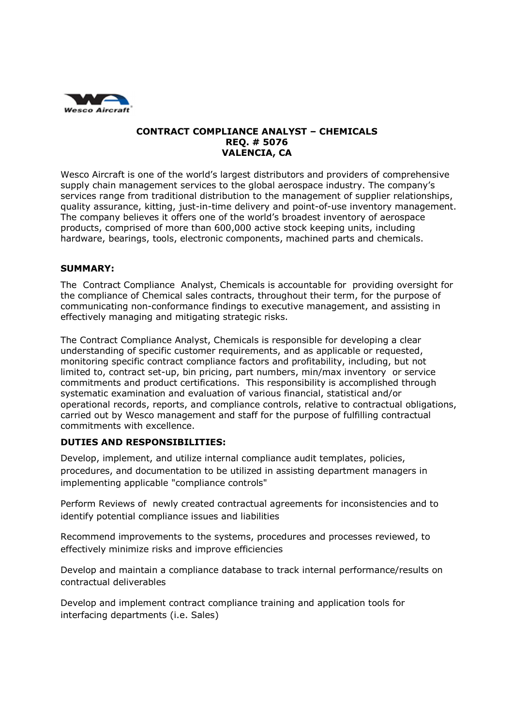

## **CONTRACT COMPLIANCE ANALYST – CHEMICALS REQ. # 5076 VALENCIA, CA**

Wesco Aircraft is one of the world's largest distributors and providers of comprehensive supply chain management services to the global aerospace industry. The company's services range from traditional distribution to the management of supplier relationships, quality assurance, kitting, just-in-time delivery and point-of-use inventory management. The company believes it offers one of the world's broadest inventory of aerospace products, comprised of more than 600,000 active stock keeping units, including hardware, bearings, tools, electronic components, machined parts and chemicals.

## **SUMMARY:**

The Contract Compliance Analyst, Chemicals is accountable for providing oversight for the compliance of Chemical sales contracts, throughout their term, for the purpose of communicating non-conformance findings to executive management, and assisting in effectively managing and mitigating strategic risks.

The Contract Compliance Analyst, Chemicals is responsible for developing a clear understanding of specific customer requirements, and as applicable or requested, monitoring specific contract compliance factors and profitability, including, but not limited to, contract set-up, bin pricing, part numbers, min/max inventory or service commitments and product certifications. This responsibility is accomplished through systematic examination and evaluation of various financial, statistical and/or operational records, reports, and compliance controls, relative to contractual obligations, carried out by Wesco management and staff for the purpose of fulfilling contractual commitments with excellence.

## **DUTIES AND RESPONSIBILITIES:**

Develop, implement, and utilize internal compliance audit templates, policies, procedures, and documentation to be utilized in assisting department managers in implementing applicable "compliance controls"

Perform Reviews of newly created contractual agreements for inconsistencies and to identify potential compliance issues and liabilities

Recommend improvements to the systems, procedures and processes reviewed, to effectively minimize risks and improve efficiencies

Develop and maintain a compliance database to track internal performance/results on contractual deliverables

Develop and implement contract compliance training and application tools for interfacing departments (i.e. Sales)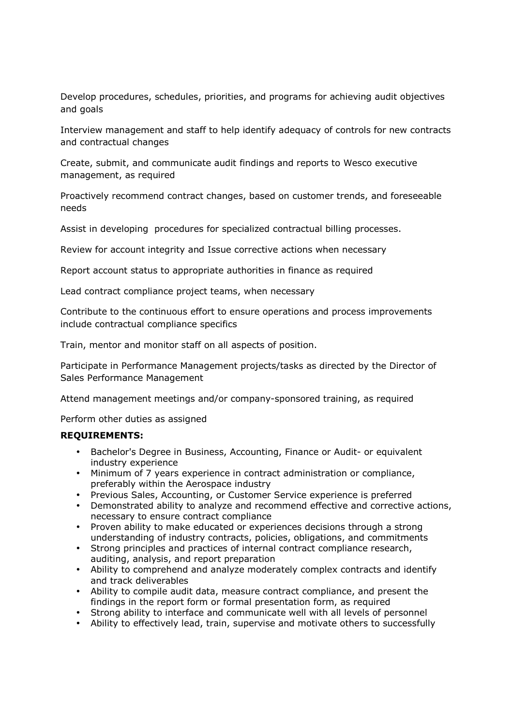Develop procedures, schedules, priorities, and programs for achieving audit objectives and goals

Interview management and staff to help identify adequacy of controls for new contracts and contractual changes

Create, submit, and communicate audit findings and reports to Wesco executive management, as required

Proactively recommend contract changes, based on customer trends, and foreseeable needs

Assist in developing procedures for specialized contractual billing processes.

Review for account integrity and Issue corrective actions when necessary

Report account status to appropriate authorities in finance as required

Lead contract compliance project teams, when necessary

Contribute to the continuous effort to ensure operations and process improvements include contractual compliance specifics

Train, mentor and monitor staff on all aspects of position.

Participate in Performance Management projects/tasks as directed by the Director of Sales Performance Management

Attend management meetings and/or company-sponsored training, as required

Perform other duties as assigned

## **REQUIREMENTS:**

- Bachelor's Degree in Business, Accounting, Finance or Audit- or equivalent industry experience
- Minimum of 7 years experience in contract administration or compliance, preferably within the Aerospace industry
- Previous Sales, Accounting, or Customer Service experience is preferred
- Demonstrated ability to analyze and recommend effective and corrective actions, necessary to ensure contract compliance
- Proven ability to make educated or experiences decisions through a strong understanding of industry contracts, policies, obligations, and commitments
- Strong principles and practices of internal contract compliance research, auditing, analysis, and report preparation
- Ability to comprehend and analyze moderately complex contracts and identify and track deliverables
- Ability to compile audit data, measure contract compliance, and present the findings in the report form or formal presentation form, as required
- Strong ability to interface and communicate well with all levels of personnel
- Ability to effectively lead, train, supervise and motivate others to successfully